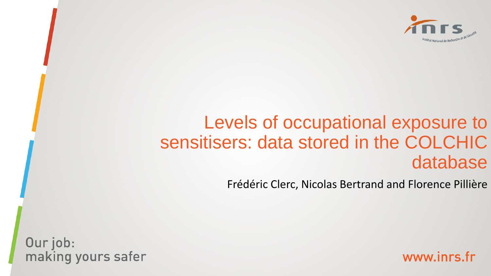

# Levels of occupational exposure to sensitisers: data stored in the COLCHIC database

Frédéric Clerc, Nicolas Bertrand and Florence Pillière

Our job: making yours safer

www.inrs.fr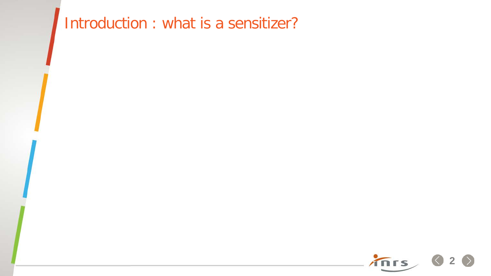# Introduction : what is a sensitizer?

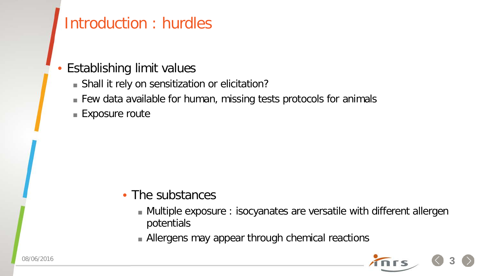## Introduction : hurdles

#### • Establishing limit values

- Shall it rely on sensitization or elicitation?
- Few data available for human, missing tests protocols for animals
- **Exposure route**

#### • The substances

- Multiple exposure : isocyanates are versatile with different allergen potentials
- Allergens may appear through chemical reactions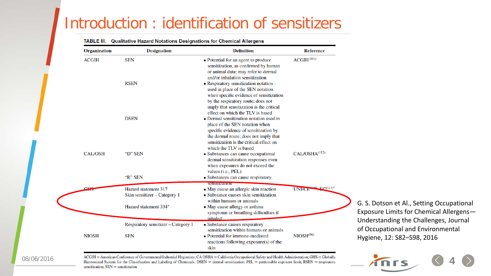#### Introduction : identification of sensitizers

#### TABLE III. Qualitative Hazard Notations Designations for Chemical Allergens

| Organization   | <b>Designation</b>                  | <b>Definition</b>                        | <b>Reference</b>                         |
|----------------|-------------------------------------|------------------------------------------|------------------------------------------|
| <b>ACGIH</b>   | <b>SEN</b>                          | • Potential for an agent to produce      | ACGH <sup>(101)</sup>                    |
|                |                                     | sensitization, as confirmed by human     |                                          |
|                |                                     | or animal data; may refer to dermal      |                                          |
|                |                                     | and/or inhalation sensitization          |                                          |
|                | <b>RSEN</b>                         | • Respiratory sensitization notation -   |                                          |
|                |                                     | used in place of the SEN notation        |                                          |
|                |                                     | when specific evidence of sensitization  |                                          |
|                |                                     | by the respiratory route; does not       |                                          |
|                |                                     | imply that sensitization is the critical |                                          |
|                |                                     | effect on which the TLV is based         |                                          |
|                | <b>DSEN</b>                         | • Dermal sensitization notation used in  |                                          |
|                |                                     | place of the SEN notation when           |                                          |
|                |                                     | specific evidence of sensitization by    |                                          |
|                |                                     | the dermal route; does not imply that    |                                          |
|                |                                     | sensitization is the critical effect on  |                                          |
|                |                                     | which the TLV is based                   |                                          |
| <b>CAL/OSH</b> | "D" SEN                             | • Substances can cause occupational      | CAL/OSHA <sup>(112)</sup>                |
|                |                                     | dermal sensitization responses even      |                                          |
|                |                                     | when exposures do not exceed the         |                                          |
|                |                                     | values (i.e., PEL)                       |                                          |
|                | "R" SEN                             | · Substances can cause respiratory       |                                          |
|                |                                     | SCHELLIZZULOT                            |                                          |
| $C_{\rm LLE}$  | Hazard statement 317                | • May cause an allergic skin reaction    | $100 \text{ F}C(113)^*$<br><b>UNECEN</b> |
|                | Skin sensitizer - Category 1        | • Substance causes skin sensitization    |                                          |
|                |                                     | within humans or animals                 |                                          |
|                | Hazard statement 334*               | • May cause allergy or asthma            |                                          |
|                |                                     | symptoms or breathing difficulties if    |                                          |
|                |                                     | inhaled                                  |                                          |
|                | Respiratory sensitizer - Category 1 | • Substance causes respiratory           |                                          |
|                |                                     | sensitization within humans or animals   |                                          |
| <b>NIOSH</b>   | <b>SEN</b>                          | • Potential for immune-mediated          | NIOSH <sup>(98)</sup>                    |
|                |                                     | reactions following exposure(s) of the   |                                          |
|                |                                     | skin                                     |                                          |

G. S. Dotson et Al., Setting Occupational oosure Limits for Chemical Allergensderstanding the Challenges, Journal Occupational and Environmental giene, 12: S82–S98, 2016

#### 08/06/2016

ACGIH = American Conference of Governmental Industrial Hygienists; CA OSHA = California Occupational Safety and Health Administration; GHS = Globally Harmonized System for the Classification and Labeling of Chemicals; DSEN = dermal sensitization; PEL = permissible exposure limit; RSEN = respiratory sensitization;  $SEN =$  sensitization

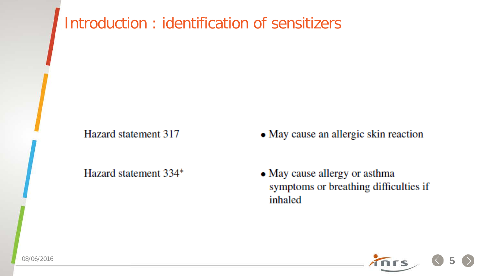# Introduction : identification of sensitizers

Hazard statement 317

Hazard statement 334\*

- May cause an allergic skin reaction
- May cause allergy or asthma symptoms or breathing difficulties if inhaled

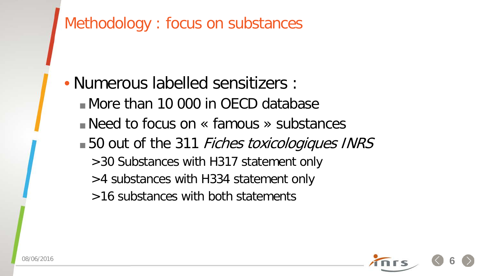

- >4 substances with H334 statement only
- >16 substances with both statements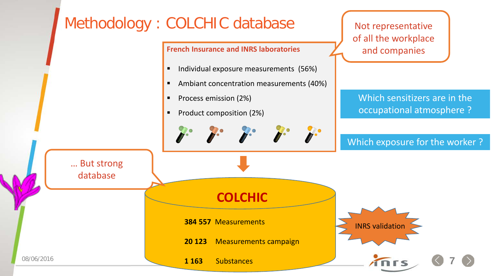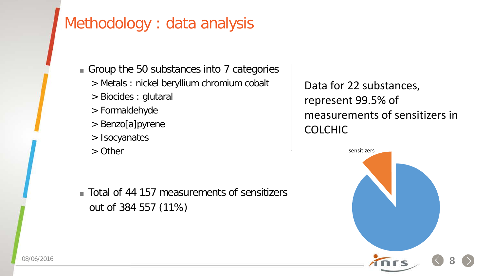### Methodology : data analysis

Group the 50 substances into 7 categories

- > Metals : nickel beryllium chromium cobalt
- > Biocides : glutaral
- > Formaldehyde
- > Benzo[a]pyrene
- > Isocyanates
- > Other

 Total of 44 157 measurements of sensitizers out of 384 557 (11%)

Data for 22 substances, represent 99.5% of measurements of sensitizers in COLCHIC

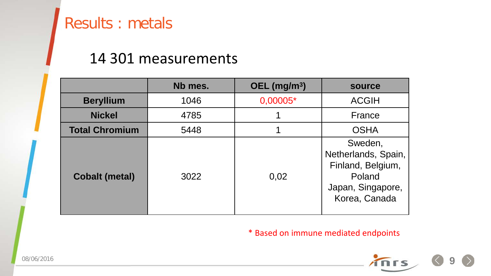#### <span id="page-8-0"></span>Results : metals

#### 14 301 measurements

|                       | Nb mes. | OEL $(mg/m3)$ | source                                                                                              |
|-----------------------|---------|---------------|-----------------------------------------------------------------------------------------------------|
| <b>Beryllium</b>      | 1046    | 0,00005*      | <b>ACGIH</b>                                                                                        |
| <b>Nickel</b>         | 4785    |               | France                                                                                              |
| <b>Total Chromium</b> | 5448    |               | <b>OSHA</b>                                                                                         |
| <b>Cobalt (metal)</b> | 3022    | 0,02          | Sweden,<br>Netherlands, Spain,<br>Finland, Belgium,<br>Poland<br>Japan, Singapore,<br>Korea, Canada |

\* Based on immune mediated endpoints

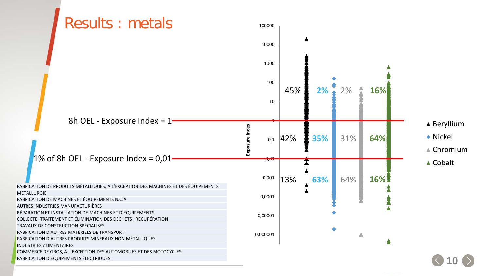<span id="page-9-0"></span>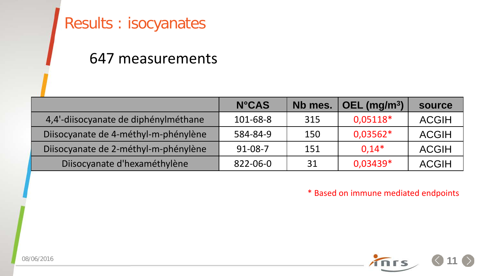### <span id="page-10-0"></span>Results : isocyanates

#### 647 measurements

|                                      | <b>N°CAS</b>  | Nb mes. | OEL $(mg/m3)$ | source       |
|--------------------------------------|---------------|---------|---------------|--------------|
| 4,4'-diisocyanate de diphénylméthane | 101-68-8      | 315     | 0,05118*      | <b>ACGIH</b> |
| Diisocyanate de 4-méthyl-m-phénylène | 584-84-9      | 150     | $0,03562*$    | <b>ACGIH</b> |
| Diisocyanate de 2-méthyl-m-phénylène | $91 - 08 - 7$ | 151     | $0.14*$       | <b>ACGIH</b> |
| Diisocyanate d'hexaméthylène         | 822-06-0      | 31      | 0,03439*      | <b>ACGIH</b> |

\* Based on immune mediated endpoints

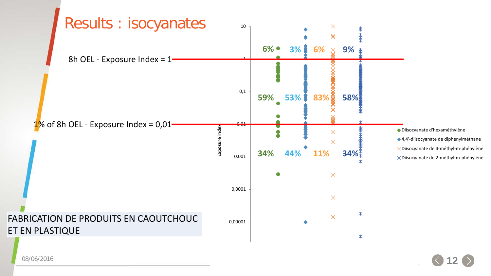<span id="page-11-0"></span>

08/06/2016

**[.](#page-10-0)12**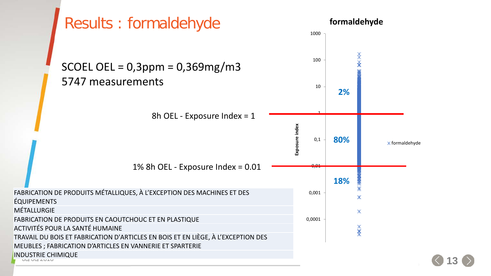<span id="page-12-0"></span>

**[.](#page-11-0)13**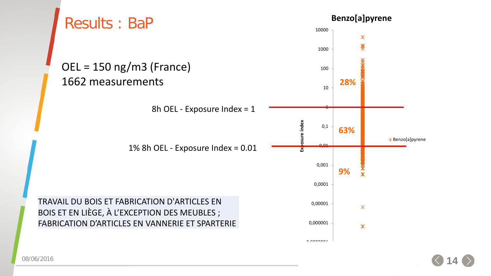<span id="page-13-0"></span>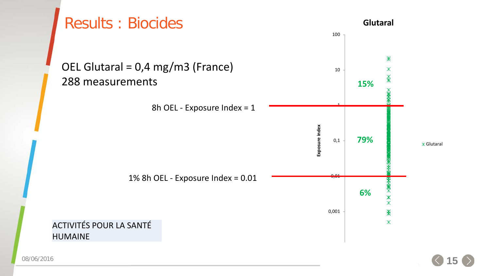<span id="page-14-0"></span>

08/06/2016

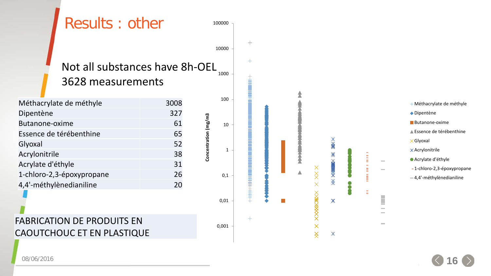<span id="page-15-0"></span>

08/06/2016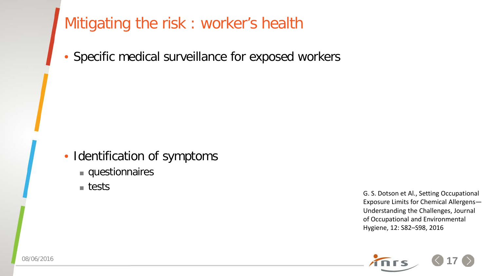### <span id="page-16-0"></span>Mitigating the risk : worker's health

Specific medical surveillance for exposed workers

• Identification of symptoms

**questionnaires** 

**■** tests

G. S. Dotson et Al., Setting Occupational Exposure Limits for Chemical Allergens— Understanding the Challenges, Journal of Occupational and Environmental Hygiene, 12: S82–S98, 2016

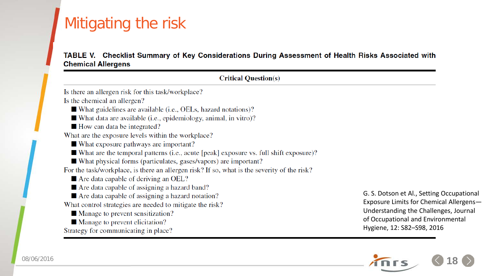# <span id="page-17-0"></span>Mitigating the risk

#### TABLE V. Checklist Summary of Key Considerations During Assessment of Health Risks Associated with **Chemical Allergens**

| <b>Critical Question(s)</b>                                                                 |                                           |  |  |
|---------------------------------------------------------------------------------------------|-------------------------------------------|--|--|
| Is there an allergen risk for this task/workplace?                                          |                                           |  |  |
| Is the chemical an allergen?                                                                |                                           |  |  |
| $\blacksquare$ What guidelines are available (i.e., OELs, hazard notations)?                |                                           |  |  |
| ■ What data are available (i.e., epidemiology, animal, in vitro)?                           |                                           |  |  |
| $\blacksquare$ How can data be integrated?                                                  |                                           |  |  |
| What are the exposure levels within the workplace?                                          |                                           |  |  |
| ■ What exposure pathways are important?                                                     |                                           |  |  |
| ■ What are the temporal patterns (i.e., acute [peak] exposure vs. full shift exposure)?     |                                           |  |  |
| ■ What physical forms (particulates, gases/vapors) are important?                           |                                           |  |  |
| For the task/workplace, is there an allergen risk? If so, what is the severity of the risk? |                                           |  |  |
| $\blacksquare$ Are data capable of deriving an OEL?                                         |                                           |  |  |
| Are data capable of assigning a hazard band?                                                |                                           |  |  |
| ■ Are data capable of assigning a hazard notation?                                          | G. S. Dotson et Al., Setting Occupational |  |  |
| What control strategies are needed to mitigate the risk?                                    | Exposure Limits for Chemical Allergens-   |  |  |
| ■ Manage to prevent sensitization?                                                          | Understanding the Challenges, Journal     |  |  |
| ■ Manage to prevent elicitation?                                                            | of Occupational and Environmental         |  |  |
| Strategy for communicating in place?                                                        | Hygiene, 12: S82-S98, 2016                |  |  |

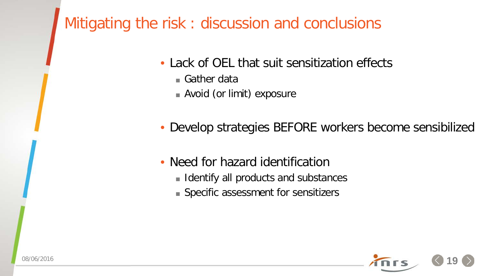### Mitigating the risk : discussion and conclusions

- Lack of OEL that suit sensitization effects
	- Gather data
	- Avoid (or limit) exposure
- Develop strategies BEFORE workers become sensibilized
- Need for hazard identification
	- **Identify all products and substances**
	- Specific assessment for sensitizers